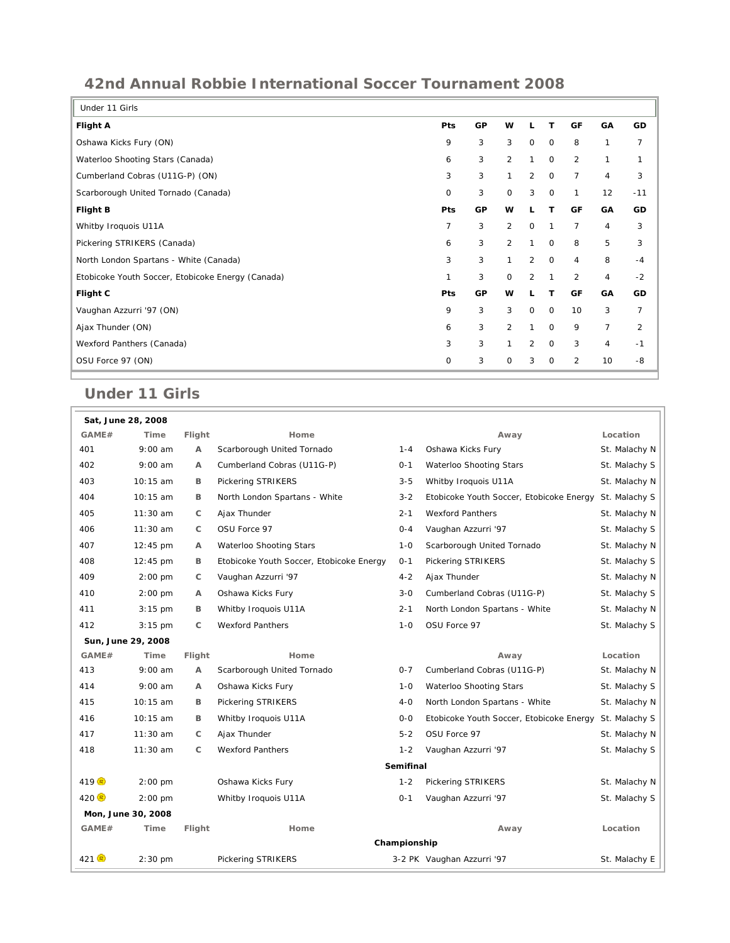## **42nd Annual Robbie International Soccer Tournament 2008**

| Under 11 Girls                                    |             |    |                |                |             |                |                |                |  |  |  |  |  |
|---------------------------------------------------|-------------|----|----------------|----------------|-------------|----------------|----------------|----------------|--|--|--|--|--|
| <b>Flight A</b>                                   | <b>Pts</b>  | GP | w              | L              | т           | GF             | GA             | GD             |  |  |  |  |  |
| Oshawa Kicks Fury (ON)                            | 9           | 3  | 3              | $\mathbf 0$    | $\mathbf 0$ | 8              | $\mathbf{1}$   | $\overline{7}$ |  |  |  |  |  |
| Waterloo Shooting Stars (Canada)                  | 6           | 3  | $\overline{2}$ | $\mathbf{1}$   | $\mathbf 0$ | $\overline{2}$ | $\mathbf{1}$   | 1              |  |  |  |  |  |
| Cumberland Cobras (U11G-P) (ON)                   | 3           | 3  | 1              | 2              | $\mathbf 0$ | 7              | $\overline{4}$ | 3              |  |  |  |  |  |
| Scarborough United Tornado (Canada)               | $\mathbf 0$ | 3  | $\mathbf 0$    | 3              | $\mathbf 0$ | $\mathbf{1}$   | 12             | $-11$          |  |  |  |  |  |
| <b>Flight B</b>                                   | Pts         | GP | W              |                | т           | GF             | GA             | GD             |  |  |  |  |  |
| Whitby Iroquois U11A                              | 7           | 3  | $\overline{2}$ | $\mathbf 0$    | 1           | 7              | $\overline{4}$ | 3              |  |  |  |  |  |
| Pickering STRIKERS (Canada)                       | 6           | 3  | $\overline{2}$ | 1              | $\mathbf 0$ | 8              | 5              | 3              |  |  |  |  |  |
| North London Spartans - White (Canada)            | 3           | 3  | 1              | $\overline{2}$ | $\mathbf 0$ | $\overline{4}$ | 8              | $-4$           |  |  |  |  |  |
| Etobicoke Youth Soccer, Etobicoke Energy (Canada) | 1           | 3  | $\mathbf 0$    | 2              | 1           | $\overline{2}$ | $\overline{4}$ | $-2$           |  |  |  |  |  |
| Flight C                                          | Pts         | GP | w              | L              | т           | GF             | GA             | GD             |  |  |  |  |  |
| Vaughan Azzurri '97 (ON)                          | 9           | 3  | 3              | $\mathbf 0$    | $\mathbf 0$ | 10             | 3              | $\overline{7}$ |  |  |  |  |  |
| Ajax Thunder (ON)                                 | 6           | 3  | $\overline{2}$ | $\mathbf{1}$   | $\mathbf 0$ | 9              | $\overline{7}$ | $\overline{2}$ |  |  |  |  |  |
| Wexford Panthers (Canada)                         | 3           | 3  | $\mathbf{1}$   | 2              | $\mathbf 0$ | 3              | 4              | $-1$           |  |  |  |  |  |
| OSU Force 97 (ON)                                 | $\mathbf 0$ | 3  | $\mathbf 0$    | 3              | $\mathbf 0$ | 2              | 10             | $-8$           |  |  |  |  |  |
|                                                   |             |    |                |                |             |                |                |                |  |  |  |  |  |

## **Under 11 Girls**

| Sat, June 28, 2008              |                    |        |                                          |         |                                          |               |  |  |  |  |  |  |
|---------------------------------|--------------------|--------|------------------------------------------|---------|------------------------------------------|---------------|--|--|--|--|--|--|
| GAME#                           | Time               | Flight | Home                                     |         | Away                                     | Location      |  |  |  |  |  |  |
| 401                             | $9:00$ am          | Α      | Scarborough United Tornado               | $1 - 4$ | Oshawa Kicks Fury                        | St. Malachy N |  |  |  |  |  |  |
| 402                             | $9:00$ am          | A      | Cumberland Cobras (U11G-P)               | $0 - 1$ | Waterloo Shooting Stars                  | St. Malachy S |  |  |  |  |  |  |
| 403                             | $10:15$ am         | B      | <b>Pickering STRIKERS</b>                | $3 - 5$ | Whitby Iroquois U11A                     | St. Malachy N |  |  |  |  |  |  |
| 404                             | 10:15 am           | в      | North London Spartans - White            | $3 - 2$ | Etobicoke Youth Soccer, Etobicoke Energy | St. Malachy S |  |  |  |  |  |  |
| 405                             | $11:30$ am         | C      | Ajax Thunder                             | $2 - 1$ | <b>Wexford Panthers</b>                  | St. Malachy N |  |  |  |  |  |  |
| 406                             | $11:30$ am         | C      | OSU Force 97                             | $0 - 4$ | Vaughan Azzurri '97                      | St. Malachy S |  |  |  |  |  |  |
| 407                             | $12:45 \text{ pm}$ | A      | Waterloo Shooting Stars                  | $1 - 0$ | Scarborough United Tornado               | St. Malachy N |  |  |  |  |  |  |
| 408                             | 12:45 pm           | B      | Etobicoke Youth Soccer, Etobicoke Energy | $0 - 1$ | Pickering STRIKERS                       | St. Malachy S |  |  |  |  |  |  |
| 409                             | $2:00$ pm          | C      | Vaughan Azzurri '97                      | $4 - 2$ | Ajax Thunder                             | St. Malachy N |  |  |  |  |  |  |
| 410                             | $2:00$ pm          | А      | Oshawa Kicks Fury                        | $3 - 0$ | Cumberland Cobras (U11G-P)               | St. Malachy S |  |  |  |  |  |  |
| 411                             | $3:15$ pm          | B      | Whitby Iroquois U11A                     | $2 - 1$ | North London Spartans - White            | St. Malachy N |  |  |  |  |  |  |
| 412                             | $3:15$ pm          | C      | <b>Wexford Panthers</b>                  | $1 - 0$ | OSU Force 97                             | St. Malachy S |  |  |  |  |  |  |
|                                 | Sun, June 29, 2008 |        |                                          |         |                                          |               |  |  |  |  |  |  |
| GAME#                           | Time               | Flight | Home                                     |         | Away                                     | Location      |  |  |  |  |  |  |
| 413                             | $9:00$ am          | А      | Scarborough United Tornado               | $0 - 7$ | Cumberland Cobras (U11G-P)               | St. Malachy N |  |  |  |  |  |  |
| 414                             | $9:00$ am          | A      | Oshawa Kicks Fury                        | $1 - 0$ | Waterloo Shooting Stars                  | St. Malachy S |  |  |  |  |  |  |
| 415                             | 10:15 am           | в      | Pickering STRIKERS                       | $4 - 0$ | North London Spartans - White            | St. Malachy N |  |  |  |  |  |  |
| 416                             | 10:15 am           | B      | Whitby Iroquois U11A                     | $0 - 0$ | Etobicoke Youth Soccer, Etobicoke Energy | St. Malachy S |  |  |  |  |  |  |
| 417                             | $11:30$ am         | C      | Ajax Thunder                             | $5 - 2$ | OSU Force 97                             | St. Malachy N |  |  |  |  |  |  |
| 418                             | $11:30$ am         | C      | <b>Wexford Panthers</b>                  | $1 - 2$ | Vaughan Azzurri '97                      | St. Malachy S |  |  |  |  |  |  |
|                                 | <b>Semifinal</b>   |        |                                          |         |                                          |               |  |  |  |  |  |  |
| $419$ <sup><math>R</math></sup> | $2:00$ pm          |        | Oshawa Kicks Fury                        | $1 - 2$ | Pickering STRIKERS                       | St. Malachy N |  |  |  |  |  |  |
| 420 B                           | $2:00$ pm          |        | Whitby Iroquois U11A                     | $0 - 1$ | Vaughan Azzurri '97                      | St. Malachy S |  |  |  |  |  |  |
|                                 | Mon, June 30, 2008 |        |                                          |         |                                          |               |  |  |  |  |  |  |
| GAME#                           | Time               | Flight | Home                                     |         | Away                                     | Location      |  |  |  |  |  |  |
|                                 | Championship       |        |                                          |         |                                          |               |  |  |  |  |  |  |
| $421$ <sup><math>R</math></sup> | $2:30$ pm          |        | <b>Pickering STRIKERS</b>                |         | 3-2 PK Vaughan Azzurri '97               | St. Malachy E |  |  |  |  |  |  |